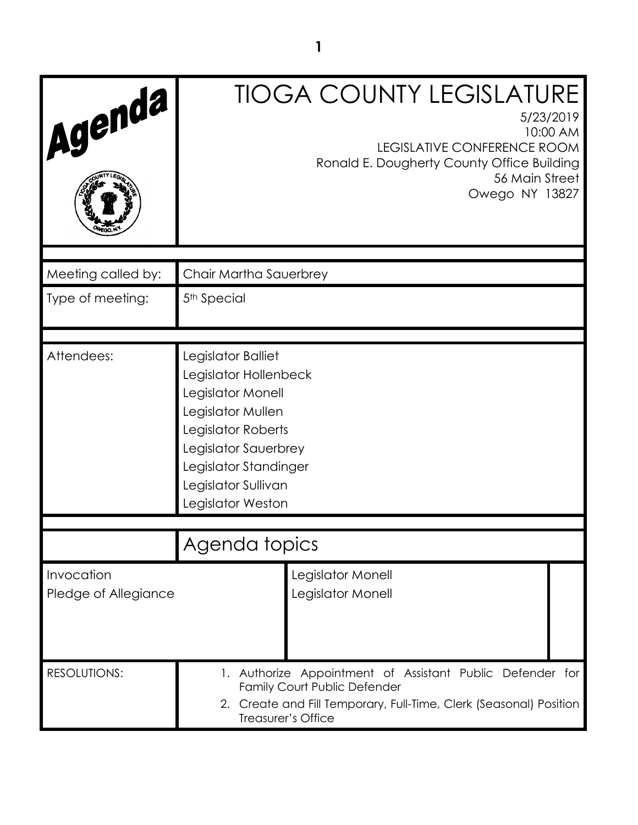| Agenda                             | <b>TIOGA COUNTY LEGISLATURE</b><br>5/23/2019<br>10:00 AM<br>LEGISLATIVE CONFERENCE ROOM<br>Ronald E. Dougherty County Office Building<br>56 Main Street<br>Owego NY 13827                                |
|------------------------------------|----------------------------------------------------------------------------------------------------------------------------------------------------------------------------------------------------------|
| Meeting called by:                 | Chair Martha Sauerbrey                                                                                                                                                                                   |
| Type of meeting:                   | 5 <sup>th</sup> Special                                                                                                                                                                                  |
| Attendees:                         | Legislator Balliet<br>Legislator Hollenbeck<br>Legislator Monell<br>Legislator Mullen<br>Legislator Roberts<br>Legislator Sauerbrey<br>Legislator Standinger<br>Legislator Sullivan<br>Legislator Weston |
|                                    | Agenda topics                                                                                                                                                                                            |
| Invocation<br>Pledge of Allegiance | Legislator Monell<br>Legislator Monell                                                                                                                                                                   |
| <b>RESOLUTIONS:</b>                | 1. Authorize Appointment of Assistant Public Defender for<br><b>Family Court Public Defender</b><br>2. Create and Fill Temporary, Full-Time, Clerk (Seasonal) Position<br>Treasurer's Office             |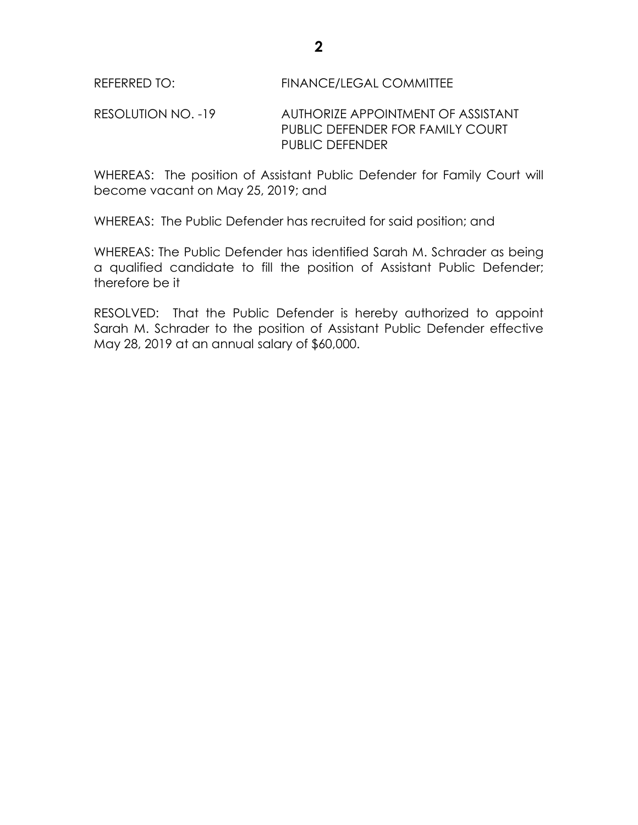RESOLUTION NO. -19 AUTHORIZE APPOINTMENT OF ASSISTANT PUBLIC DEFENDER FOR FAMILY COURT PUBLIC DEFENDER

WHEREAS: The position of Assistant Public Defender for Family Court will become vacant on May 25, 2019; and

WHEREAS: The Public Defender has recruited for said position; and

WHEREAS: The Public Defender has identified Sarah M. Schrader as being a qualified candidate to fill the position of Assistant Public Defender; therefore be it

RESOLVED: That the Public Defender is hereby authorized to appoint Sarah M. Schrader to the position of Assistant Public Defender effective May 28, 2019 at an annual salary of \$60,000.